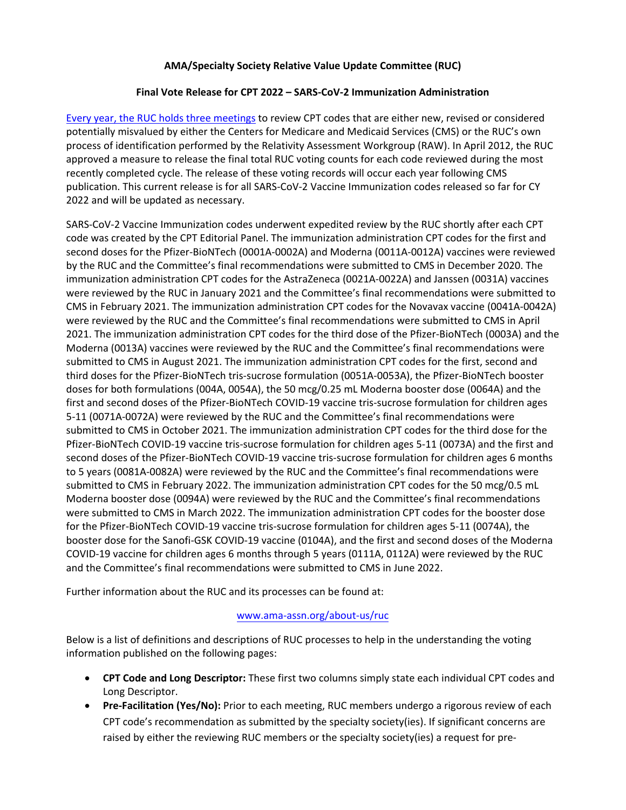### **AMA/Specialty Society Relative Value Update Committee (RUC)**

### **Final Vote Release for CPT 2022 – SARS-CoV-2 Immunization Administration**

[Every year, the RUC holds three meetings](https://www.ama-assn.org/about-us/ruc) to review CPT codes that are either new, revised or considered potentially misvalued by either the Centers for Medicare and Medicaid Services (CMS) or the RUC's own process of identification performed by the Relativity Assessment Workgroup (RAW). In April 2012, the RUC approved a measure to release the final total RUC voting counts for each code reviewed during the most recently completed cycle. The release of these voting records will occur each year following CMS publication. This current release is for all SARS-CoV-2 Vaccine Immunization codes released so far for CY 2022 and will be updated as necessary.

SARS-CoV-2 Vaccine Immunization codes underwent expedited review by the RUC shortly after each CPT code was created by the CPT Editorial Panel. The immunization administration CPT codes for the first and second doses for the Pfizer-BioNTech (0001A-0002A) and Moderna (0011A-0012A) vaccines were reviewed by the RUC and the Committee's final recommendations were submitted to CMS in December 2020. The immunization administration CPT codes for the AstraZeneca (0021A-0022A) and Janssen (0031A) vaccines were reviewed by the RUC in January 2021 and the Committee's final recommendations were submitted to CMS in February 2021. The immunization administration CPT codes for the Novavax vaccine (0041A-0042A) were reviewed by the RUC and the Committee's final recommendations were submitted to CMS in April 2021. The immunization administration CPT codes for the third dose of the Pfizer-BioNTech (0003A) and the Moderna (0013A) vaccines were reviewed by the RUC and the Committee's final recommendations were submitted to CMS in August 2021. The immunization administration CPT codes for the first, second and third doses for the Pfizer-BioNTech tris-sucrose formulation (0051A-0053A), the Pfizer-BioNTech booster doses for both formulations (004A, 0054A), the 50 mcg/0.25 mL Moderna booster dose (0064A) and the first and second doses of the Pfizer-BioNTech COVID-19 vaccine tris-sucrose formulation for children ages 5-11 (0071A-0072A) were reviewed by the RUC and the Committee's final recommendations were submitted to CMS in October 2021. The immunization administration CPT codes for the third dose for the Pfizer-BioNTech COVID-19 vaccine tris-sucrose formulation for children ages 5-11 (0073A) and the first and second doses of the Pfizer-BioNTech COVID-19 vaccine tris-sucrose formulation for children ages 6 months to 5 years (0081A-0082A) were reviewed by the RUC and the Committee's final recommendations were submitted to CMS in February 2022. The immunization administration CPT codes for the 50 mcg/0.5 mL Moderna booster dose (0094A) were reviewed by the RUC and the Committee's final recommendations were submitted to CMS in March 2022. The immunization administration CPT codes for the booster dose for the Pfizer-BioNTech COVID-19 vaccine tris-sucrose formulation for children ages 5-11 (0074A), the booster dose for the Sanofi-GSK COVID-19 vaccine (0104A), and the first and second doses of the Moderna COVID-19 vaccine for children ages 6 months through 5 years (0111A, 0112A) were reviewed by the RUC and the Committee's final recommendations were submitted to CMS in June 2022.

Further information about the RUC and its processes can be found at:

### [www.ama-assn.org/about-us/ruc](http://www.ama-assn.org/about-us/ruc)

Below is a list of definitions and descriptions of RUC processes to help in the understanding the voting information published on the following pages:

- **CPT Code and Long Descriptor:** These first two columns simply state each individual CPT codes and Long Descriptor.
- **Pre-Facilitation (Yes/No):** Prior to each meeting, RUC members undergo a rigorous review of each CPT code's recommendation as submitted by the specialty society(ies). If significant concerns are raised by either the reviewing RUC members or the specialty society(ies) a request for pre-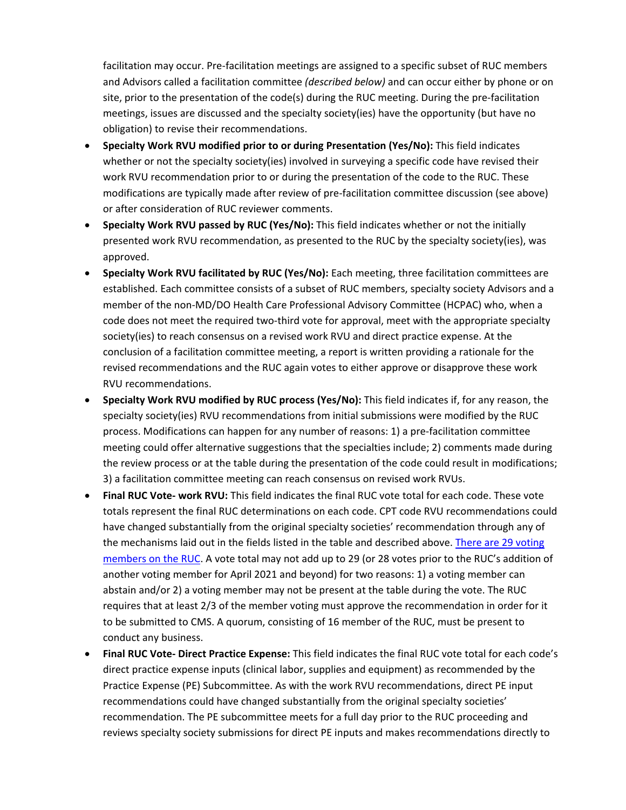facilitation may occur. Pre-facilitation meetings are assigned to a specific subset of RUC members and Advisors called a facilitation committee *(described below)* and can occur either by phone or on site, prior to the presentation of the code(s) during the RUC meeting. During the pre-facilitation meetings, issues are discussed and the specialty society(ies) have the opportunity (but have no obligation) to revise their recommendations.

- **Specialty Work RVU modified prior to or during Presentation (Yes/No):** This field indicates whether or not the specialty society(ies) involved in surveying a specific code have revised their work RVU recommendation prior to or during the presentation of the code to the RUC. These modifications are typically made after review of pre-facilitation committee discussion (see above) or after consideration of RUC reviewer comments.
- **Specialty Work RVU passed by RUC (Yes/No):** This field indicates whether or not the initially presented work RVU recommendation, as presented to the RUC by the specialty society(ies), was approved.
- **Specialty Work RVU facilitated by RUC (Yes/No):** Each meeting, three facilitation committees are established. Each committee consists of a subset of RUC members, specialty society Advisors and a member of the non-MD/DO Health Care Professional Advisory Committee (HCPAC) who, when a code does not meet the required two-third vote for approval, meet with the appropriate specialty society(ies) to reach consensus on a revised work RVU and direct practice expense. At the conclusion of a facilitation committee meeting, a report is written providing a rationale for the revised recommendations and the RUC again votes to either approve or disapprove these work RVU recommendations.
- **Specialty Work RVU modified by RUC process (Yes/No):** This field indicates if, for any reason, the specialty society(ies) RVU recommendations from initial submissions were modified by the RUC process. Modifications can happen for any number of reasons: 1) a pre-facilitation committee meeting could offer alternative suggestions that the specialties include; 2) comments made during the review process or at the table during the presentation of the code could result in modifications; 3) a facilitation committee meeting can reach consensus on revised work RVUs.
- **Final RUC Vote- work RVU:** This field indicates the final RUC vote total for each code. These vote totals represent the final RUC determinations on each code. CPT code RVU recommendations could have changed substantially from the original specialty societies' recommendation through any of the mechanisms laid out in the fields listed in the table and described above[. There are 29 voting](https://www.ama-assn.org/about/rvs-update-committee-ruc/composition-rvs-update-committee-ruc)  [members on the RUC.](https://www.ama-assn.org/about/rvs-update-committee-ruc/composition-rvs-update-committee-ruc) A vote total may not add up to 29 (or 28 votes prior to the RUC's addition of another voting member for April 2021 and beyond) for two reasons: 1) a voting member can abstain and/or 2) a voting member may not be present at the table during the vote. The RUC requires that at least 2/3 of the member voting must approve the recommendation in order for it to be submitted to CMS. A quorum, consisting of 16 member of the RUC, must be present to conduct any business.
- **Final RUC Vote- Direct Practice Expense:** This field indicates the final RUC vote total for each code's direct practice expense inputs (clinical labor, supplies and equipment) as recommended by the Practice Expense (PE) Subcommittee. As with the work RVU recommendations, direct PE input recommendations could have changed substantially from the original specialty societies' recommendation. The PE subcommittee meets for a full day prior to the RUC proceeding and reviews specialty society submissions for direct PE inputs and makes recommendations directly to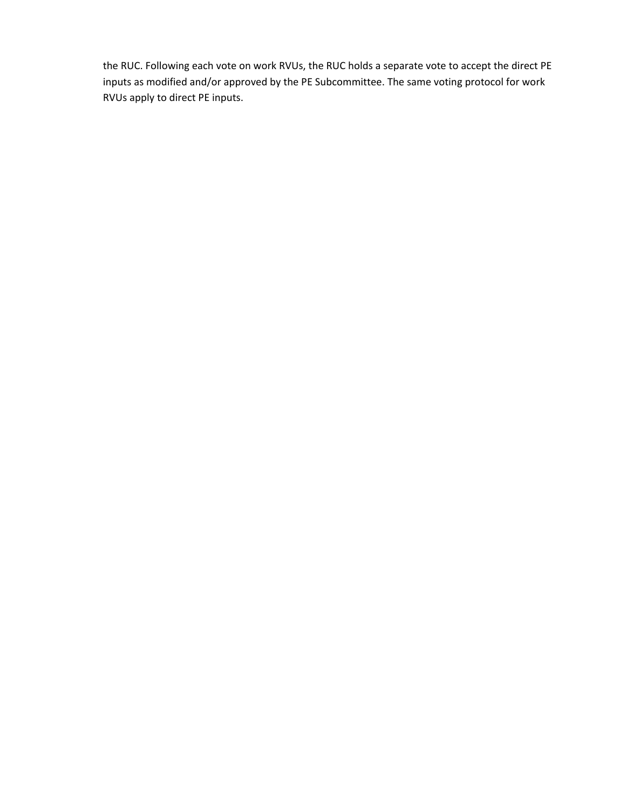the RUC. Following each vote on work RVUs, the RUC holds a separate vote to accept the direct PE inputs as modified and/or approved by the PE Subcommittee. The same voting protocol for work RVUs apply to direct PE inputs.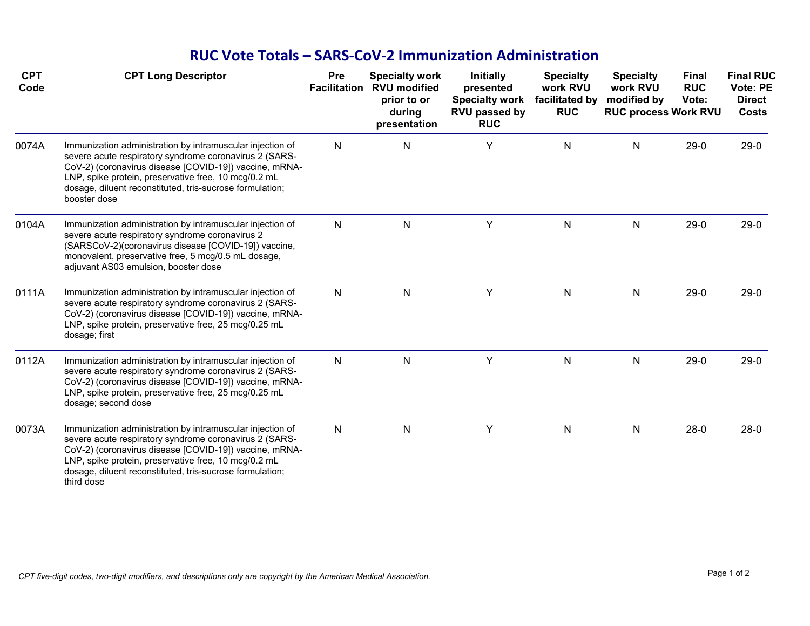# **RUC Vote Totals – SARS‐CoV‐2 Immunization Administration**

| <b>CPT</b><br>Code | <b>CPT Long Descriptor</b>                                                                                                                                                                                                                                                                                        | Pre          | <b>Specialty work</b><br><b>Facilitation RVU modified</b><br>prior to or<br>during<br>presentation | <b>Initially</b><br>presented<br><b>Specialty work</b><br><b>RVU passed by</b><br><b>RUC</b> | <b>Specialty</b><br>work RVU<br>facilitated by<br><b>RUC</b> | <b>Specialty</b><br>work RVU<br>modified by<br><b>RUC process Work RVU</b> | <b>Final</b><br><b>RUC</b><br>Vote: | <b>Final RUC</b><br>Vote: PE<br><b>Direct</b><br><b>Costs</b> |
|--------------------|-------------------------------------------------------------------------------------------------------------------------------------------------------------------------------------------------------------------------------------------------------------------------------------------------------------------|--------------|----------------------------------------------------------------------------------------------------|----------------------------------------------------------------------------------------------|--------------------------------------------------------------|----------------------------------------------------------------------------|-------------------------------------|---------------------------------------------------------------|
| 0074A              | Immunization administration by intramuscular injection of<br>severe acute respiratory syndrome coronavirus 2 (SARS-<br>CoV-2) (coronavirus disease [COVID-19]) vaccine, mRNA-<br>LNP, spike protein, preservative free, 10 mcg/0.2 mL<br>dosage, diluent reconstituted, tris-sucrose formulation;<br>booster dose | $\mathsf{N}$ | ${\sf N}$                                                                                          | Υ                                                                                            | ${\sf N}$                                                    | N                                                                          | $29-0$                              | $29-0$                                                        |
| 0104A              | Immunization administration by intramuscular injection of<br>severe acute respiratory syndrome coronavirus 2<br>(SARSCoV-2)(coronavirus disease [COVID-19]) vaccine,<br>monovalent, preservative free, 5 mcg/0.5 mL dosage,<br>adjuvant AS03 emulsion, booster dose                                               | $\mathsf{N}$ | $\mathsf{N}$                                                                                       | Υ                                                                                            | N                                                            | N                                                                          | $29-0$                              | $29-0$                                                        |
| 0111A              | Immunization administration by intramuscular injection of<br>severe acute respiratory syndrome coronavirus 2 (SARS-<br>CoV-2) (coronavirus disease [COVID-19]) vaccine, mRNA-<br>LNP, spike protein, preservative free, 25 mcg/0.25 mL<br>dosage; first                                                           | $\mathsf{N}$ | $\mathsf{N}$                                                                                       | Y                                                                                            | N                                                            | N                                                                          | $29-0$                              | $29-0$                                                        |
| 0112A              | Immunization administration by intramuscular injection of<br>severe acute respiratory syndrome coronavirus 2 (SARS-<br>CoV-2) (coronavirus disease [COVID-19]) vaccine, mRNA-<br>LNP, spike protein, preservative free, 25 mcg/0.25 mL<br>dosage; second dose                                                     | $\mathsf{N}$ | $\mathsf{N}$                                                                                       | Y                                                                                            | $\mathsf{N}$                                                 | N                                                                          | $29-0$                              | $29-0$                                                        |
| 0073A              | Immunization administration by intramuscular injection of<br>severe acute respiratory syndrome coronavirus 2 (SARS-<br>CoV-2) (coronavirus disease [COVID-19]) vaccine, mRNA-<br>LNP, spike protein, preservative free, 10 mcg/0.2 mL<br>dosage, diluent reconstituted, tris-sucrose formulation;<br>third dose   | ${\sf N}$    | ${\sf N}$                                                                                          | Υ                                                                                            | N                                                            | N                                                                          | $28-0$                              | $28-0$                                                        |